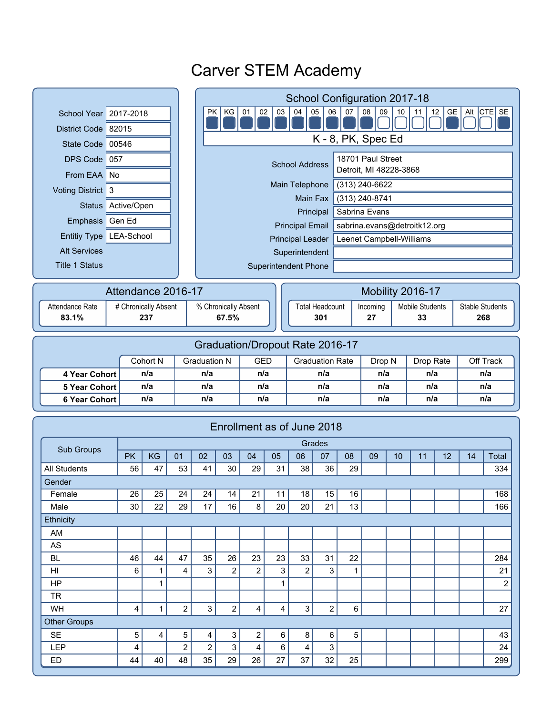#### **Superintendent** Superintendent Phone School Year 2017-2018 District Code 82015 State Code 00546 DPS Code  $057$ From EAA  $\vert$  No Voting District 3 Emphasis Gen Ed Status Active/Open Entitiy Type | LEA-School Alt Services Title 1 Status PK KG 01 02 03 04 05 06 07 08 09 10 11 12 GE Alt CTE SE 1 1 1 1 1 1 1 1 1 1 0 0 0 0 1 0 0 1 K - 8, PK, Spec Ed 18701 Paul Street Detroit, MI 48228-3868 Main Telephone (313) 240-6622 Main Fax (313) 240-8741 Principal Principal Leader | Leenet Campbell-Williams sabrina.evans@detroitk12.org Sabrina Evans School Configuration 2017-18 School Address Principal Email Attendance Rate | # Chronically Absent | % Chronically Absent **83.1% 67.5%** Attendance 2016-17 Total Headcount | Incoming | Mobile Students | Stable Students **301 27 33 268** Mobility 2016-17 Cohort N Graduation N GED Graduation Rate Drop N Drop Rate Off Track **4 Year Cohort n/a n/a n/a n/a n/a n/a n/a 5 Year Cohort n/a n/a n/a n/a n/a n/a n/a 6 Year Cohort n/a n/a n/a n/a n/a n/a n/a** Graduation/Dropout Rate 2016-17 PK | KG | 01 | 02 | 03 | 04 | 05 | 06 | 07 | 08 | 09 | 10 | 11 | 12 | 14 | Total Grades Sub Groups Female 26 25 24 24 14 21 11 18 15 16 168 Male | 30 | 22 | 29 | 17 | 16 | 8 | 20 | 20 | 21 | 13 | | | | | 166 AM AS BL 46 44 47 35 26 23 23 33 31 22 284 HI | 6 | 1 | 4 | 3 | 2 | 2 | 3 | 2 | 3 | 1 | | | | | | | | | 21 HP | | 1| | | | | 1| | | | | | | | | 2 TR WH | 4 | 1 | 2 | 3 | 2 | 4 | 4 | 3 | 2 | 6 | | | | | | | | | 27 Enrollment as of June 2018 All Students 56 47 53 41 30 29 31 38 36 29 334 Gender SE | 5 | 4 | 5 | 4 | 3 | 2 | 6 | 8 | 6 | 5 | | | | | | | | | 43 Other Groups **Ethnicity** LEP | 4 | 2 | 2 | 3 | 4 | 6 | 4 | 3 | | | | | | | | | 24 ED 44 40 48 35 29 26 27 37 32 25 299 **237**

# Carver STEM Academy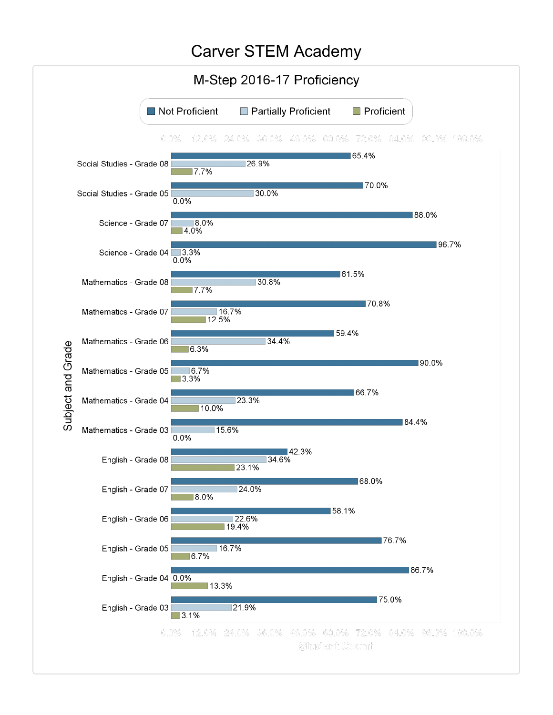#### Carver STEM Academy

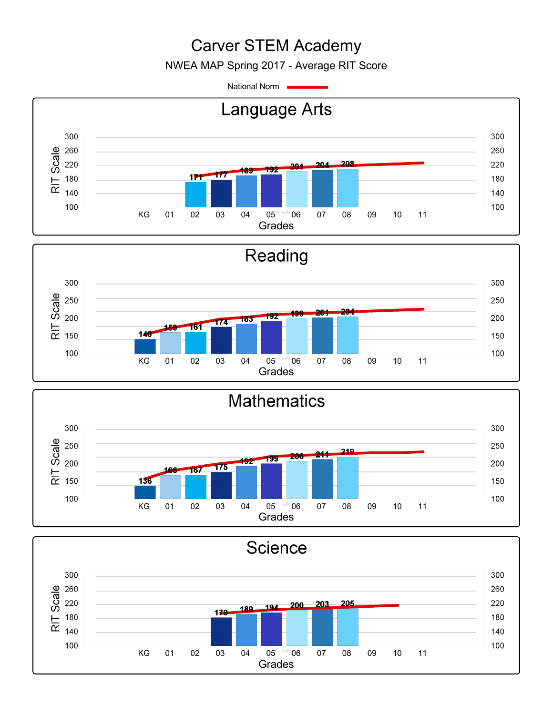## Carver STEM Academy

NWEA MAP Spring 2017 - Average RIT Score

National Norm